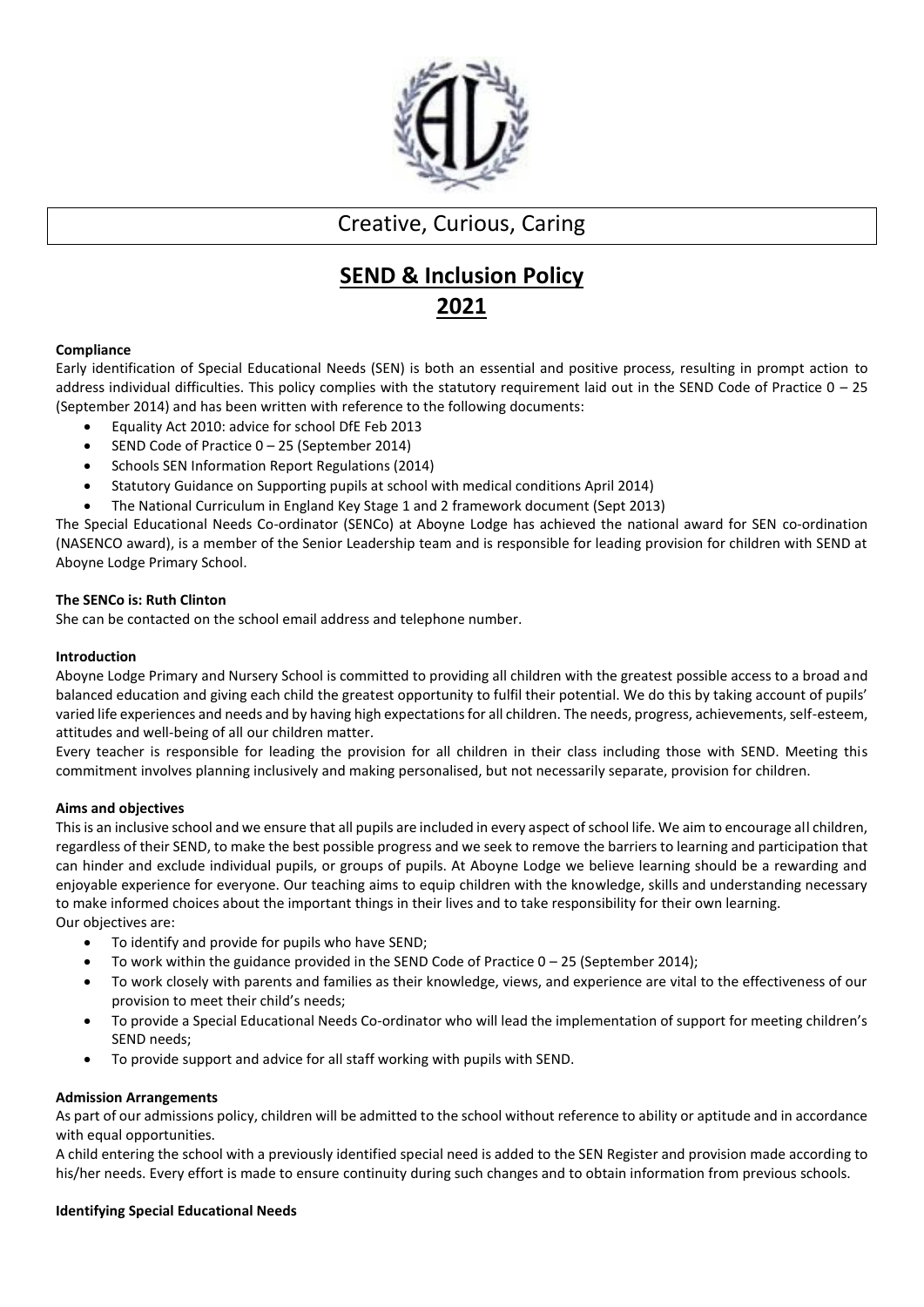

## Creative, Curious, Caring

# **SEND & Inclusion Policy 2021**

## **Compliance**

Early identification of Special Educational Needs (SEN) is both an essential and positive process, resulting in prompt action to address individual difficulties. This policy complies with the statutory requirement laid out in the SEND Code of Practice  $0 - 25$ (September 2014) and has been written with reference to the following documents:

- Equality Act 2010: advice for school DfE Feb 2013
- SEND Code of Practice 0 25 (September 2014)
- Schools SEN Information Report Regulations (2014)
- Statutory Guidance on Supporting pupils at school with medical conditions April 2014)
- The National Curriculum in England Key Stage 1 and 2 framework document (Sept 2013)

The Special Educational Needs Co-ordinator (SENCo) at Aboyne Lodge has achieved the national award for SEN co-ordination (NASENCO award), is a member of the Senior Leadership team and is responsible for leading provision for children with SEND at Aboyne Lodge Primary School.

## **The SENCo is: Ruth Clinton**

She can be contacted on the school email address and telephone number.

## **Introduction**

Aboyne Lodge Primary and Nursery School is committed to providing all children with the greatest possible access to a broad and balanced education and giving each child the greatest opportunity to fulfil their potential. We do this by taking account of pupils' varied life experiences and needs and by having high expectations for all children. The needs, progress, achievements, self-esteem, attitudes and well-being of all our children matter.

Every teacher is responsible for leading the provision for all children in their class including those with SEND. Meeting this commitment involves planning inclusively and making personalised, but not necessarily separate, provision for children.

## **Aims and objectives**

This is an inclusive school and we ensure that all pupils are included in every aspect of school life. We aim to encourage all children, regardless of their SEND, to make the best possible progress and we seek to remove the barriers to learning and participation that can hinder and exclude individual pupils, or groups of pupils. At Aboyne Lodge we believe learning should be a rewarding and enjoyable experience for everyone. Our teaching aims to equip children with the knowledge, skills and understanding necessary to make informed choices about the important things in their lives and to take responsibility for their own learning. Our objectives are:

- To identify and provide for pupils who have SEND;
- To work within the guidance provided in the SEND Code of Practice 0 25 (September 2014);
- To work closely with parents and families as their knowledge, views, and experience are vital to the effectiveness of our provision to meet their child's needs;
- To provide a Special Educational Needs Co-ordinator who will lead the implementation of support for meeting children's SEND needs;
- To provide support and advice for all staff working with pupils with SEND.

## **Admission Arrangements**

As part of our admissions policy, children will be admitted to the school without reference to ability or aptitude and in accordance with equal opportunities.

A child entering the school with a previously identified special need is added to the SEN Register and provision made according to his/her needs. Every effort is made to ensure continuity during such changes and to obtain information from previous schools.

## **Identifying Special Educational Needs**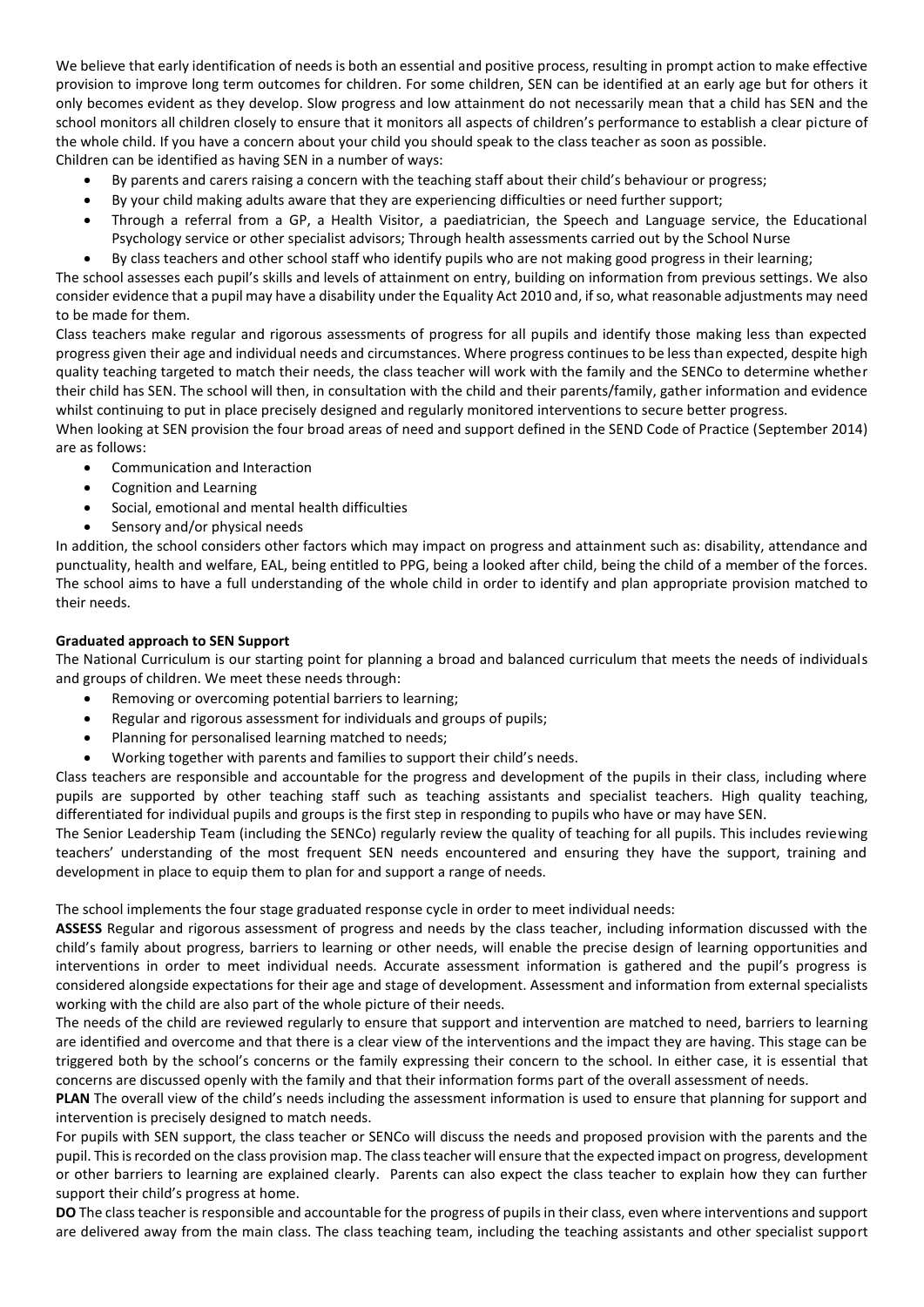We believe that early identification of needs is both an essential and positive process, resulting in prompt action to make effective provision to improve long term outcomes for children. For some children, SEN can be identified at an early age but for others it only becomes evident as they develop. Slow progress and low attainment do not necessarily mean that a child has SEN and the school monitors all children closely to ensure that it monitors all aspects of children's performance to establish a clear picture of the whole child. If you have a concern about your child you should speak to the class teacher as soon as possible. Children can be identified as having SEN in a number of ways:

- By parents and carers raising a concern with the teaching staff about their child's behaviour or progress;
- By your child making adults aware that they are experiencing difficulties or need further support;
- Through a referral from a GP, a Health Visitor, a paediatrician, the Speech and Language service, the Educational Psychology service or other specialist advisors; Through health assessments carried out by the School Nurse
- By class teachers and other school staff who identify pupils who are not making good progress in their learning;

The school assesses each pupil's skills and levels of attainment on entry, building on information from previous settings. We also consider evidence that a pupil may have a disability under the Equality Act 2010 and, if so, what reasonable adjustments may need to be made for them.

Class teachers make regular and rigorous assessments of progress for all pupils and identify those making less than expected progress given their age and individual needs and circumstances. Where progress continues to be less than expected, despite high quality teaching targeted to match their needs, the class teacher will work with the family and the SENCo to determine whether their child has SEN. The school will then, in consultation with the child and their parents/family, gather information and evidence whilst continuing to put in place precisely designed and regularly monitored interventions to secure better progress.

When looking at SEN provision the four broad areas of need and support defined in the SEND Code of Practice (September 2014) are as follows:

- Communication and Interaction
- Cognition and Learning
- Social, emotional and mental health difficulties
- Sensory and/or physical needs

In addition, the school considers other factors which may impact on progress and attainment such as: disability, attendance and punctuality, health and welfare, EAL, being entitled to PPG, being a looked after child, being the child of a member of the forces. The school aims to have a full understanding of the whole child in order to identify and plan appropriate provision matched to their needs.

## **Graduated approach to SEN Support**

The National Curriculum is our starting point for planning a broad and balanced curriculum that meets the needs of individuals and groups of children. We meet these needs through:

- Removing or overcoming potential barriers to learning;
- Regular and rigorous assessment for individuals and groups of pupils;
- Planning for personalised learning matched to needs;
- Working together with parents and families to support their child's needs.

Class teachers are responsible and accountable for the progress and development of the pupils in their class, including where pupils are supported by other teaching staff such as teaching assistants and specialist teachers. High quality teaching, differentiated for individual pupils and groups is the first step in responding to pupils who have or may have SEN.

The Senior Leadership Team (including the SENCo) regularly review the quality of teaching for all pupils. This includes reviewing teachers' understanding of the most frequent SEN needs encountered and ensuring they have the support, training and development in place to equip them to plan for and support a range of needs.

The school implements the four stage graduated response cycle in order to meet individual needs:

**ASSESS** Regular and rigorous assessment of progress and needs by the class teacher, including information discussed with the child's family about progress, barriers to learning or other needs, will enable the precise design of learning opportunities and interventions in order to meet individual needs. Accurate assessment information is gathered and the pupil's progress is considered alongside expectations for their age and stage of development. Assessment and information from external specialists working with the child are also part of the whole picture of their needs.

The needs of the child are reviewed regularly to ensure that support and intervention are matched to need, barriers to learning are identified and overcome and that there is a clear view of the interventions and the impact they are having. This stage can be triggered both by the school's concerns or the family expressing their concern to the school. In either case, it is essential that concerns are discussed openly with the family and that their information forms part of the overall assessment of needs.

**PLAN** The overall view of the child's needs including the assessment information is used to ensure that planning for support and intervention is precisely designed to match needs.

For pupils with SEN support, the class teacher or SENCo will discuss the needs and proposed provision with the parents and the pupil. This is recorded on the class provision map. The class teacher will ensure that the expected impact on progress, development or other barriers to learning are explained clearly. Parents can also expect the class teacher to explain how they can further support their child's progress at home.

**DO** The class teacher is responsible and accountable for the progress of pupils in their class, even where interventions and support are delivered away from the main class. The class teaching team, including the teaching assistants and other specialist support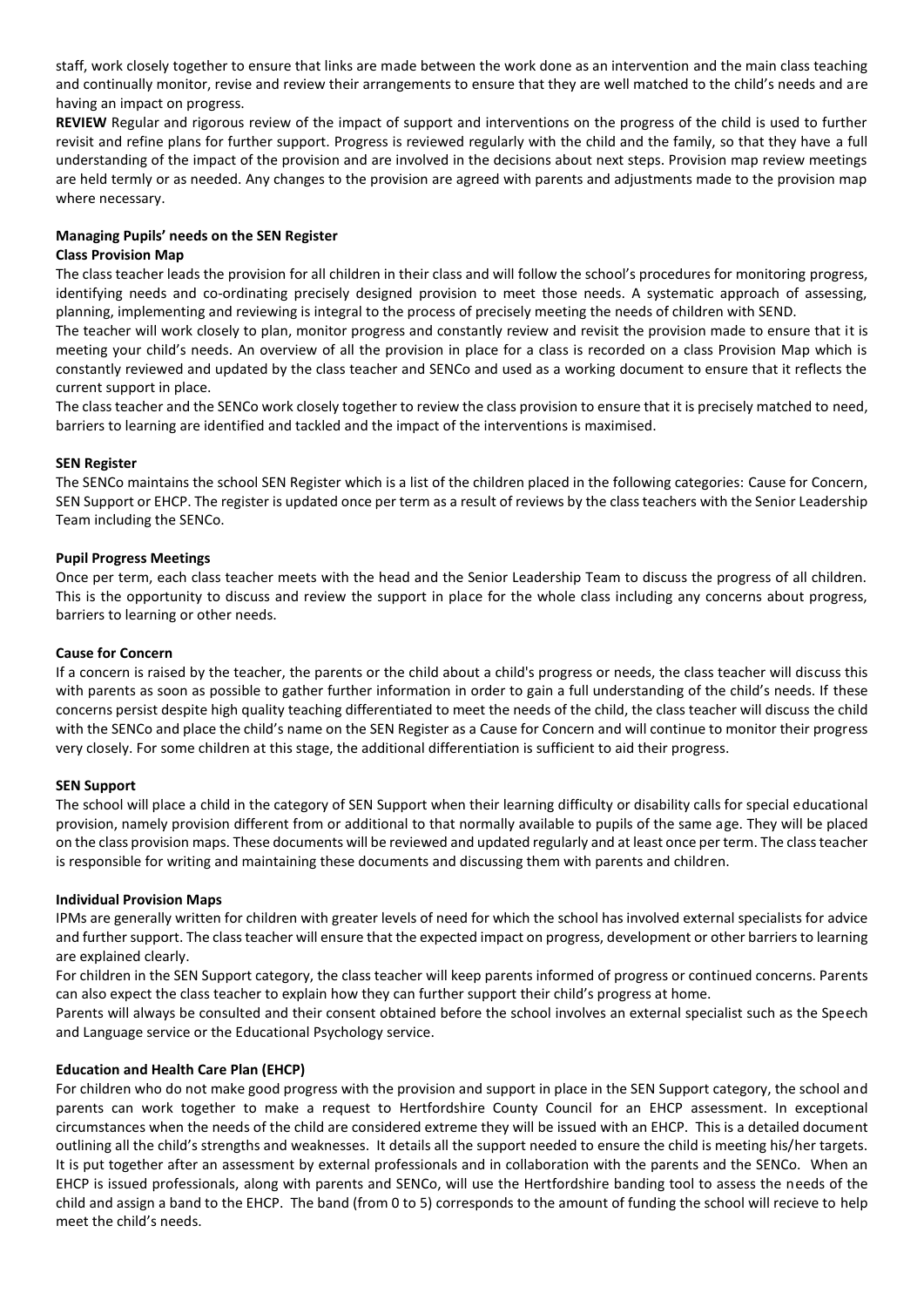staff, work closely together to ensure that links are made between the work done as an intervention and the main class teaching and continually monitor, revise and review their arrangements to ensure that they are well matched to the child's needs and are having an impact on progress.

**REVIEW** Regular and rigorous review of the impact of support and interventions on the progress of the child is used to further revisit and refine plans for further support. Progress is reviewed regularly with the child and the family, so that they have a full understanding of the impact of the provision and are involved in the decisions about next steps. Provision map review meetings are held termly or as needed. Any changes to the provision are agreed with parents and adjustments made to the provision map where necessary.

## **Managing Pupils' needs on the SEN Register**

### **Class Provision Map**

The class teacher leads the provision for all children in their class and will follow the school's procedures for monitoring progress, identifying needs and co-ordinating precisely designed provision to meet those needs. A systematic approach of assessing, planning, implementing and reviewing is integral to the process of precisely meeting the needs of children with SEND.

The teacher will work closely to plan, monitor progress and constantly review and revisit the provision made to ensure that it is meeting your child's needs. An overview of all the provision in place for a class is recorded on a class Provision Map which is constantly reviewed and updated by the class teacher and SENCo and used as a working document to ensure that it reflects the current support in place.

The class teacher and the SENCo work closely together to review the class provision to ensure that it is precisely matched to need, barriers to learning are identified and tackled and the impact of the interventions is maximised.

## **SEN Register**

The SENCo maintains the school SEN Register which is a list of the children placed in the following categories: Cause for Concern, SEN Support or EHCP. The register is updated once per term as a result of reviews by the class teachers with the Senior Leadership Team including the SENCo.

## **Pupil Progress Meetings**

Once per term, each class teacher meets with the head and the Senior Leadership Team to discuss the progress of all children. This is the opportunity to discuss and review the support in place for the whole class including any concerns about progress, barriers to learning or other needs.

#### **Cause for Concern**

If a concern is raised by the teacher, the parents or the child about a child's progress or needs, the class teacher will discuss this with parents as soon as possible to gather further information in order to gain a full understanding of the child's needs. If these concerns persist despite high quality teaching differentiated to meet the needs of the child, the class teacher will discuss the child with the SENCo and place the child's name on the SEN Register as a Cause for Concern and will continue to monitor their progress very closely. For some children at this stage, the additional differentiation is sufficient to aid their progress.

#### **SEN Support**

The school will place a child in the category of SEN Support when their learning difficulty or disability calls for special educational provision, namely provision different from or additional to that normally available to pupils of the same age. They will be placed on the class provision maps. These documents will be reviewed and updated regularly and at least once per term. The class teacher is responsible for writing and maintaining these documents and discussing them with parents and children.

#### **Individual Provision Maps**

IPMs are generally written for children with greater levels of need for which the school has involved external specialists for advice and further support. The class teacher will ensure that the expected impact on progress, development or other barriers to learning are explained clearly.

For children in the SEN Support category, the class teacher will keep parents informed of progress or continued concerns. Parents can also expect the class teacher to explain how they can further support their child's progress at home.

Parents will always be consulted and their consent obtained before the school involves an external specialist such as the Speech and Language service or the Educational Psychology service.

## **Education and Health Care Plan (EHCP)**

For children who do not make good progress with the provision and support in place in the SEN Support category, the school and parents can work together to make a request to Hertfordshire County Council for an EHCP assessment. In exceptional circumstances when the needs of the child are considered extreme they will be issued with an EHCP. This is a detailed document outlining all the child's strengths and weaknesses. It details all the support needed to ensure the child is meeting his/her targets. It is put together after an assessment by external professionals and in collaboration with the parents and the SENCo. When an EHCP is issued professionals, along with parents and SENCo, will use the Hertfordshire banding tool to assess the needs of the child and assign a band to the EHCP. The band (from 0 to 5) corresponds to the amount of funding the school will recieve to help meet the child's needs.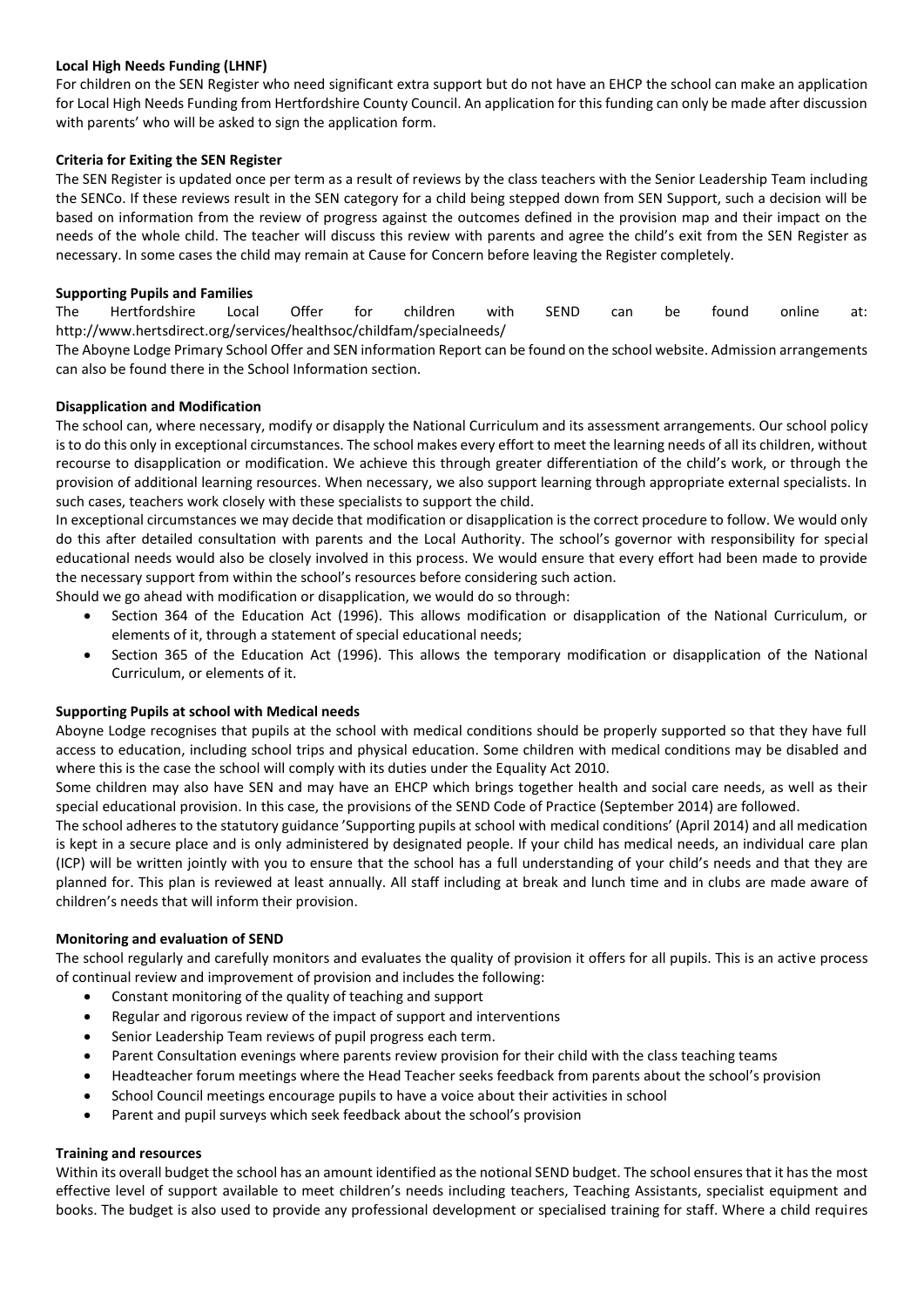## **Local High Needs Funding (LHNF)**

For children on the SEN Register who need significant extra support but do not have an EHCP the school can make an application for Local High Needs Funding from Hertfordshire County Council. An application for this funding can only be made after discussion with parents' who will be asked to sign the application form.

## **Criteria for Exiting the SEN Register**

The SEN Register is updated once per term as a result of reviews by the class teachers with the Senior Leadership Team including the SENCo. If these reviews result in the SEN category for a child being stepped down from SEN Support, such a decision will be based on information from the review of progress against the outcomes defined in the provision map and their impact on the needs of the whole child. The teacher will discuss this review with parents and agree the child's exit from the SEN Register as necessary. In some cases the child may remain at Cause for Concern before leaving the Register completely.

## **Supporting Pupils and Families**

The Hertfordshire Local Offer for children with SEND can be found online at: http://www.hertsdirect.org/services/healthsoc/childfam/specialneeds/

The Aboyne Lodge Primary School Offer and SEN information Report can be found on the school website. Admission arrangements can also be found there in the School Information section.

## **Disapplication and Modification**

The school can, where necessary, modify or disapply the National Curriculum and its assessment arrangements. Our school policy is to do this only in exceptional circumstances. The school makes every effort to meet the learning needs of all its children, without recourse to disapplication or modification. We achieve this through greater differentiation of the child's work, or through the provision of additional learning resources. When necessary, we also support learning through appropriate external specialists. In such cases, teachers work closely with these specialists to support the child.

In exceptional circumstances we may decide that modification or disapplication is the correct procedure to follow. We would only do this after detailed consultation with parents and the Local Authority. The school's governor with responsibility for special educational needs would also be closely involved in this process. We would ensure that every effort had been made to provide the necessary support from within the school's resources before considering such action.

Should we go ahead with modification or disapplication, we would do so through:

- Section 364 of the Education Act (1996). This allows modification or disapplication of the National Curriculum, or elements of it, through a statement of special educational needs;
- Section 365 of the Education Act (1996). This allows the temporary modification or disapplication of the National Curriculum, or elements of it.

## **Supporting Pupils at school with Medical needs**

Aboyne Lodge recognises that pupils at the school with medical conditions should be properly supported so that they have full access to education, including school trips and physical education. Some children with medical conditions may be disabled and where this is the case the school will comply with its duties under the Equality Act 2010.

Some children may also have SEN and may have an EHCP which brings together health and social care needs, as well as their special educational provision. In this case, the provisions of the SEND Code of Practice (September 2014) are followed.

The school adheres to the statutory guidance 'Supporting pupils at school with medical conditions' (April 2014) and all medication is kept in a secure place and is only administered by designated people. If your child has medical needs, an individual care plan (ICP) will be written jointly with you to ensure that the school has a full understanding of your child's needs and that they are planned for. This plan is reviewed at least annually. All staff including at break and lunch time and in clubs are made aware of children's needs that will inform their provision.

## **Monitoring and evaluation of SEND**

The school regularly and carefully monitors and evaluates the quality of provision it offers for all pupils. This is an active process of continual review and improvement of provision and includes the following:

- Constant monitoring of the quality of teaching and support
- Regular and rigorous review of the impact of support and interventions
- Senior Leadership Team reviews of pupil progress each term.
- Parent Consultation evenings where parents review provision for their child with the class teaching teams
- Headteacher forum meetings where the Head Teacher seeks feedback from parents about the school's provision
- School Council meetings encourage pupils to have a voice about their activities in school
- Parent and pupil surveys which seek feedback about the school's provision

## **Training and resources**

Within its overall budget the school has an amount identified as the notional SEND budget. The school ensures that it has the most effective level of support available to meet children's needs including teachers, Teaching Assistants, specialist equipment and books. The budget is also used to provide any professional development or specialised training for staff. Where a child requires